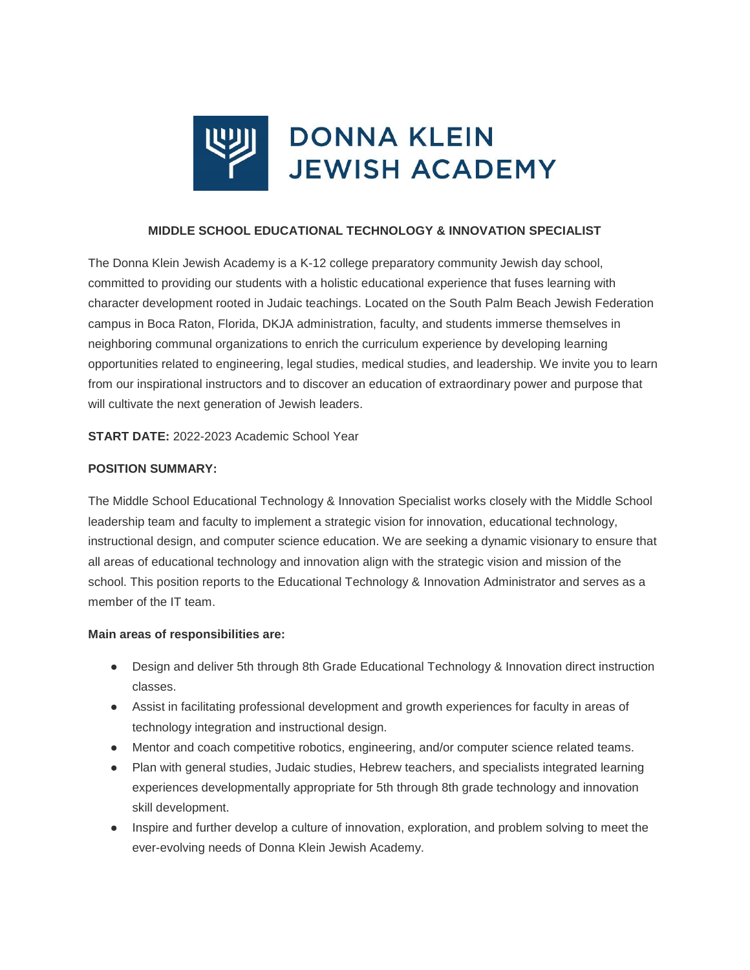

#### **MIDDLE SCHOOL EDUCATIONAL TECHNOLOGY & INNOVATION SPECIALIST**

The Donna Klein Jewish Academy is a K-12 college preparatory community Jewish day school, committed to providing our students with a holistic educational experience that fuses learning with character development rooted in Judaic teachings. Located on the South Palm Beach Jewish Federation campus in Boca Raton, Florida, DKJA administration, faculty, and students immerse themselves in neighboring communal organizations to enrich the curriculum experience by developing learning opportunities related to engineering, legal studies, medical studies, and leadership. We invite you to learn from our inspirational instructors and to discover an education of extraordinary power and purpose that will cultivate the next generation of Jewish leaders.

**START DATE:** 2022-2023 Academic School Year

#### **POSITION SUMMARY:**

The Middle School Educational Technology & Innovation Specialist works closely with the Middle School leadership team and faculty to implement a strategic vision for innovation, educational technology, instructional design, and computer science education. We are seeking a dynamic visionary to ensure that all areas of educational technology and innovation align with the strategic vision and mission of the school. This position reports to the Educational Technology & Innovation Administrator and serves as a member of the IT team.

#### **Main areas of responsibilities are:**

- Design and deliver 5th through 8th Grade Educational Technology & Innovation direct instruction classes.
- Assist in facilitating professional development and growth experiences for faculty in areas of technology integration and instructional design.
- Mentor and coach competitive robotics, engineering, and/or computer science related teams.
- Plan with general studies, Judaic studies, Hebrew teachers, and specialists integrated learning experiences developmentally appropriate for 5th through 8th grade technology and innovation skill development.
- Inspire and further develop a culture of innovation, exploration, and problem solving to meet the ever-evolving needs of Donna Klein Jewish Academy.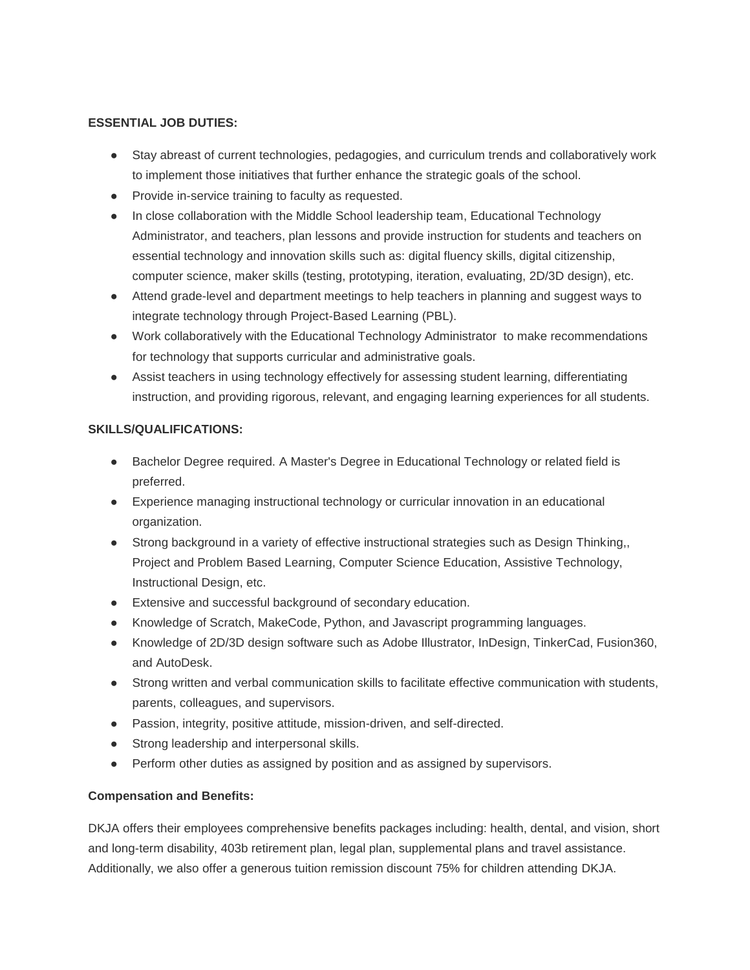### **ESSENTIAL JOB DUTIES:**

- Stay abreast of current technologies, pedagogies, and curriculum trends and collaboratively work to implement those initiatives that further enhance the strategic goals of the school.
- Provide in-service training to faculty as requested.
- In close collaboration with the Middle School leadership team, Educational Technology Administrator, and teachers, plan lessons and provide instruction for students and teachers on essential technology and innovation skills such as: digital fluency skills, digital citizenship, computer science, maker skills (testing, prototyping, iteration, evaluating, 2D/3D design), etc.
- Attend grade-level and department meetings to help teachers in planning and suggest ways to integrate technology through Project-Based Learning (PBL).
- Work collaboratively with the Educational Technology Administrator to make recommendations for technology that supports curricular and administrative goals.
- Assist teachers in using technology effectively for assessing student learning, differentiating instruction, and providing rigorous, relevant, and engaging learning experiences for all students.

## **SKILLS/QUALIFICATIONS:**

- Bachelor Degree required. A Master's Degree in Educational Technology or related field is preferred.
- Experience managing instructional technology or curricular innovation in an educational organization.
- Strong background in a variety of effective instructional strategies such as Design Thinking,, Project and Problem Based Learning, Computer Science Education, Assistive Technology, Instructional Design, etc.
- Extensive and successful background of secondary education.
- Knowledge of Scratch, MakeCode, Python, and Javascript programming languages.
- Knowledge of 2D/3D design software such as Adobe Illustrator, InDesign, TinkerCad, Fusion360, and AutoDesk.
- Strong written and verbal communication skills to facilitate effective communication with students, parents, colleagues, and supervisors.
- Passion, integrity, positive attitude, mission-driven, and self-directed.
- Strong leadership and interpersonal skills.
- Perform other duties as assigned by position and as assigned by supervisors.

# **Compensation and Benefits:**

DKJA offers their employees comprehensive benefits packages including: health, dental, and vision, short and long-term disability, 403b retirement plan, legal plan, supplemental plans and travel assistance. Additionally, we also offer a generous tuition remission discount 75% for children attending DKJA.